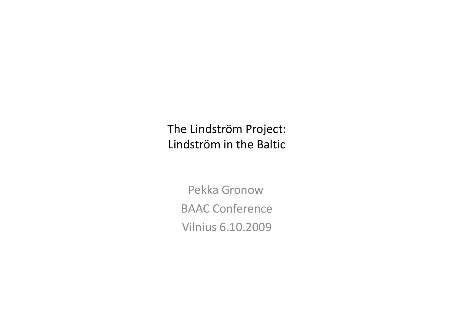The Lindström Project:Lindström in the Baltic

> Pekka Gronow BAAC ConferenceVilnius 6.10.2009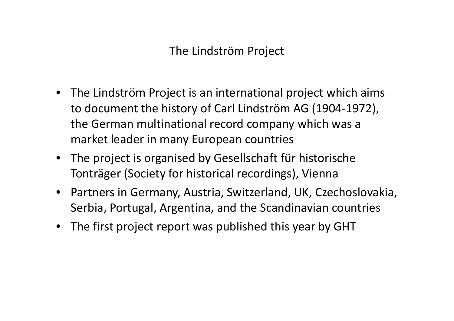The Lindström Project

- The Lindström Project is an international project which aims to document the history of Carl Lindström AG (1904-1972), the German multinational record company which was amarket leader in many European countries
- The project is organised by Gesellschaft für historische Tonträger (Society for historical recordings), Vienna
- $\bullet$  Partners in Germany, Austria, Switzerland, UK, Czechoslovakia, Serbia, Portugal, Argentina, and the Scandinavian countries
- The first project report was published this year by GHT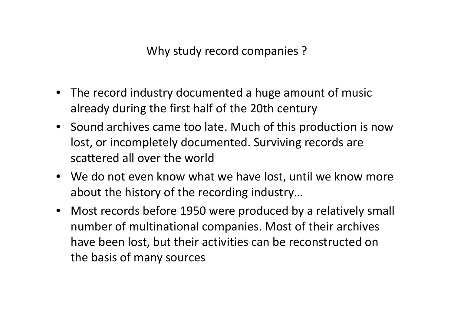Why study record companies ?

- The record industry documented a huge amount of music already during the first half of the 20th century
- Sound archives came too late. Much of this production is now lost, or incompletely documented. Surviving records are scattered all over the world
- We do not even know what we have lost, until we know more about the history of the recording industry…
- Most records before 1950 were produced by a relatively small number of multinational companies. Most of their archives have been lost, but their activities can be reconstructed on the basis of many sources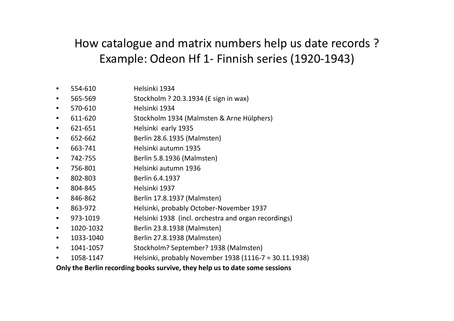## How catalogue and matrix numbers help us date records ?Example: Odeon Hf 1- Finnish series (1920-1943)

- •554-610 Helsinki 1934
- 565-569 Stockholm ? 20.3.1934 (£ sign in wax) •
- •570-610 Helsinki 1934
- 611-620 Stockholm 1934 (Malmsten & Arne Hülphers)  $\bullet$
- •621-651 Helsinki early <sup>1935</sup>
- 652-662 Berlin 28.6.1935 (Malmsten) •
- •663-741 Helsinki autumn <sup>1935</sup>
- Berlin 5.8.1936 (Malmsten)  $\bullet$ 742-755
- •756-801 Helsinki autumn <sup>1936</sup>
- •802-803 Berlin 6.4.1937
- $\bullet$ Helsinki 1937
- 846-862 Berlin 17.8.1937 (Malmsten) •
- •863-972 Helsinki, probably October-November 1937<br>973-1019 Helsinki 1938 (incl. orchestra and organ rec
- 973-1019 Helsinki 1938 (incl. orchestra and organ recordings)  $\bullet$
- •1020-1032 Berlin 23.8.1938 (Malmsten)
- $\bullet$ 1033-1040 Berlin 27.8.1938 (Malmsten)
- •1041-1057 Stockholm? September? 1938 (Malmsten)
- •1058-1147 Helsinki, probably November 1938 (1116-7 = 30.11.1938)

**Only the Berlin recording books survive, they help us to date some sessions**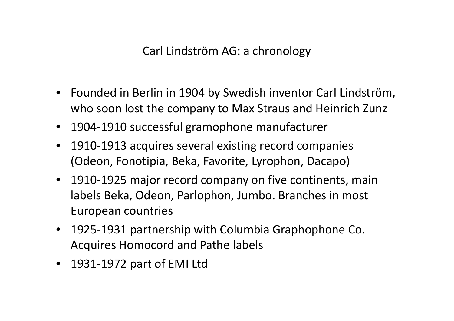Carl Lindström AG: a chronology

- Founded in Berlin in 1904 by Swedish inventor Carl Lindström, who soon lost the company to Max Straus and Heinrich Zunz
- 1904-1910 successful gramophone manufacturer
- $\bullet$  1910-1913 acquires several existing record companies (Odeon, Fonotipia, Beka, Favorite, Lyrophon, Dacapo)
- 1910-1925 major record company on five continents, main labels Beka, Odeon, Parlophon, Jumbo. Branches in most European countries
- 1925-1931 partnership with Columbia Graphophone Co. Acquires Homocord and Pathe labels
- 1931-1972 part of EMI Ltd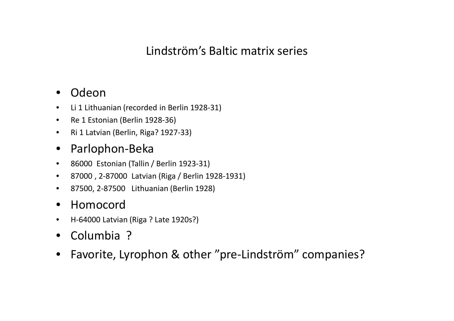### Lindström's Baltic matrix series

#### $\bullet$ Odeon

- Li 1 Lithuanian (recorded in Berlin 1928-31)  $\bullet$
- $\bullet$ Re 1 Estonian (Berlin 1928-36)
- $\bullet$ Ri 1 Latvian (Berlin, Riga? 1927-33)

#### $\bullet$ Parlophon-Beka

- $\bullet$ 86000 Estonian (Tallin / Berlin 1923-31)
- $\bullet$ 87000 , 2-87000 Latvian (Riga / Berlin 1928-1931)
- $\bullet$ 87500, 2-87500 Lithuanian (Berlin 1928)

#### $\bullet$ Homocord

- H-64000 Latvian (Riga ? Late 1920s?) •
- Columbia ?
- $\bullet$ Favorite, Lyrophon & other "pre-Lindström" companies?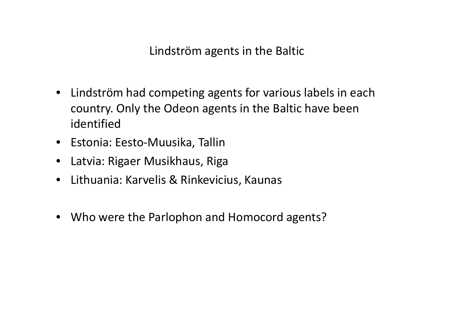Lindström agents in the Baltic

- Lindström had competing agents for various labels in each country. Only the Odeon agents in the Baltic have been identified
- Estonia: Eesto-Muusika, Tallin
- Latvia: Rigaer Musikhaus, Riga
- $\bullet$ Lithuania: Karvelis & Rinkevicius, Kaunas
- Who were the Parlophon and Homocord agents?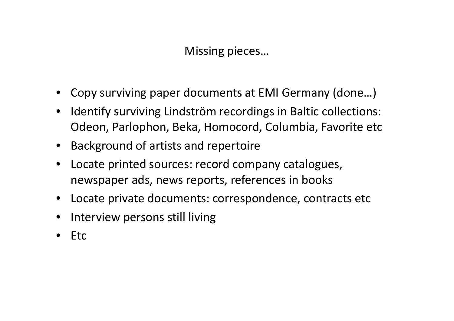Missing pieces…

- Copy surviving paper documents at EMI Germany (done…)
- $\bullet$  Identify surviving Lindström recordings in Baltic collections: Odeon, Parlophon, Beka, Homocord, Columbia, Favorite etc
- Background of artists and repertoire
- Locate printed sources: record company catalogues, newspaper ads, news reports, references in books
- Locate private documents: correspondence, contracts etc
- •Interview persons still living
- •Etc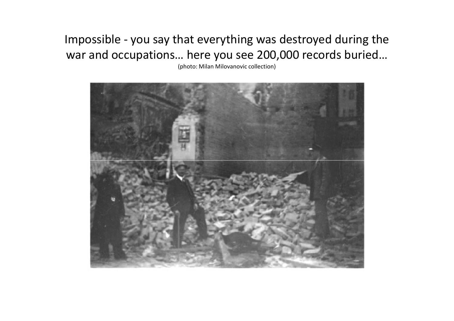## Impossible - you say that everything was destroyed during the war and occupations… here you see 200,000 records buried…

(photo: Milan Milovanovic collection)

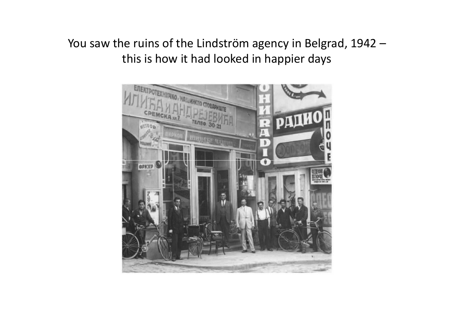You saw the ruins of the Lindström agency in Belgrad, 1942 –this is how it had looked in happier days

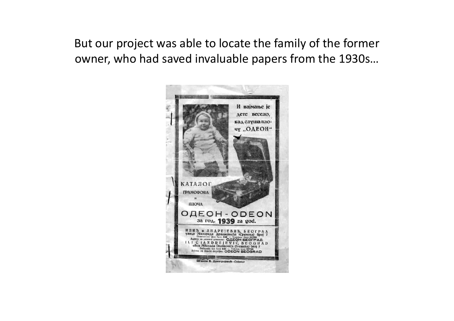But our project was able to locate the family of the former owner, who had saved invaluable papers from the 1930s…

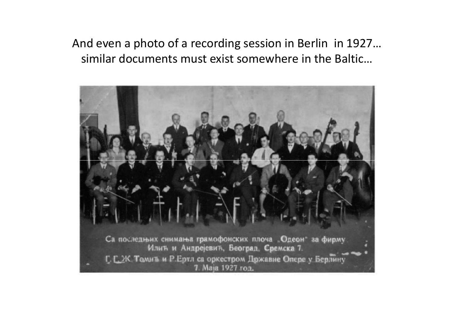## And even a photo of a recording session in Berlin in 1927… similar documents must exist somewhere in the Baltic…

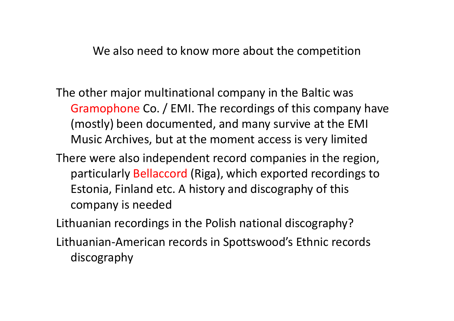We also need to know more about the competition

- The other major multinational company in the Baltic was Gramophone Co. / EMI. The recordings of this company have (mostly) been documented, and many survive at the EMI Music Archives, but at the moment access is very limited
- There were also independent record companies in the region, particularly Bellaccord (Riga), which exported recordings to Estonia, Finland etc. A history and discography of this company is needed

Lithuanian recordings in the Polish national discography?

Lithuanian-American records in Spottswood's Ethnic records discography